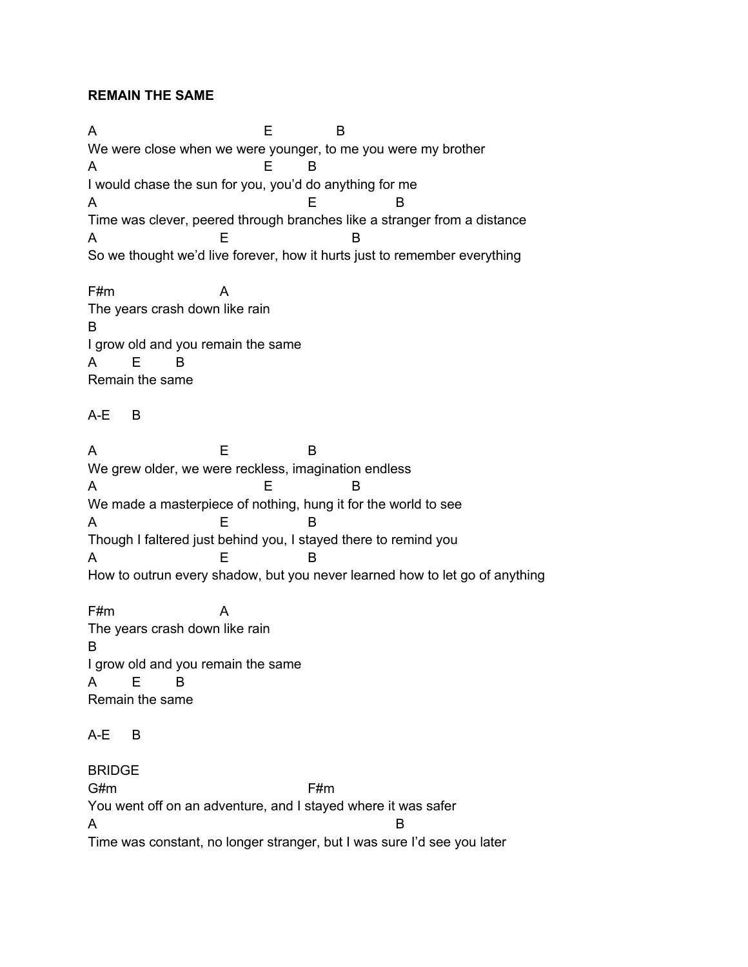## **REMAIN THE SAME**

A E B We were close when we were younger, to me you were my brother A E B I would chase the sun for you, you'd do anything for me A B Time was clever, peered through branches like a stranger from a distance A E B So we thought we'd live forever, how it hurts just to remember everything

F#m A The years crash down like rain B I grow old and you remain the same A E B Remain the same

## A-E B

A E B We grew older, we were reckless, imagination endless A E B We made a masterpiece of nothing, hung it for the world to see A E B Though I faltered just behind you, I stayed there to remind you A E B How to outrun every shadow, but you never learned how to let go of anything

F#m A The years crash down like rain B I grow old and you remain the same A E B Remain the same

## A-E B

BRIDGE G#m F#m You went off on an adventure, and I stayed where it was safer A B Time was constant, no longer stranger, but I was sure I'd see you later